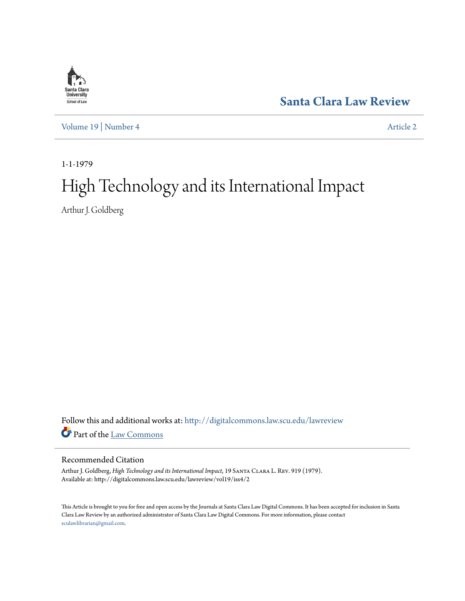

**[Santa Clara Law Review](http://digitalcommons.law.scu.edu/lawreview?utm_source=digitalcommons.law.scu.edu%2Flawreview%2Fvol19%2Fiss4%2F2&utm_medium=PDF&utm_campaign=PDFCoverPages)**

[Volume 19](http://digitalcommons.law.scu.edu/lawreview/vol19?utm_source=digitalcommons.law.scu.edu%2Flawreview%2Fvol19%2Fiss4%2F2&utm_medium=PDF&utm_campaign=PDFCoverPages) | [Number 4](http://digitalcommons.law.scu.edu/lawreview/vol19/iss4?utm_source=digitalcommons.law.scu.edu%2Flawreview%2Fvol19%2Fiss4%2F2&utm_medium=PDF&utm_campaign=PDFCoverPages) [Article 2](http://digitalcommons.law.scu.edu/lawreview/vol19/iss4/2?utm_source=digitalcommons.law.scu.edu%2Flawreview%2Fvol19%2Fiss4%2F2&utm_medium=PDF&utm_campaign=PDFCoverPages)

1-1-1979

## High Technology and its International Impact

Arthur J. Goldberg

Follow this and additional works at: [http://digitalcommons.law.scu.edu/lawreview](http://digitalcommons.law.scu.edu/lawreview?utm_source=digitalcommons.law.scu.edu%2Flawreview%2Fvol19%2Fiss4%2F2&utm_medium=PDF&utm_campaign=PDFCoverPages) Part of the [Law Commons](http://network.bepress.com/hgg/discipline/578?utm_source=digitalcommons.law.scu.edu%2Flawreview%2Fvol19%2Fiss4%2F2&utm_medium=PDF&utm_campaign=PDFCoverPages)

## Recommended Citation

Arthur J. Goldberg, *High Technology and its International Impact*, 19 Santa Clara L. Rev. 919 (1979). Available at: http://digitalcommons.law.scu.edu/lawreview/vol19/iss4/2

This Article is brought to you for free and open access by the Journals at Santa Clara Law Digital Commons. It has been accepted for inclusion in Santa Clara Law Review by an authorized administrator of Santa Clara Law Digital Commons. For more information, please contact [sculawlibrarian@gmail.com](mailto:sculawlibrarian@gmail.com).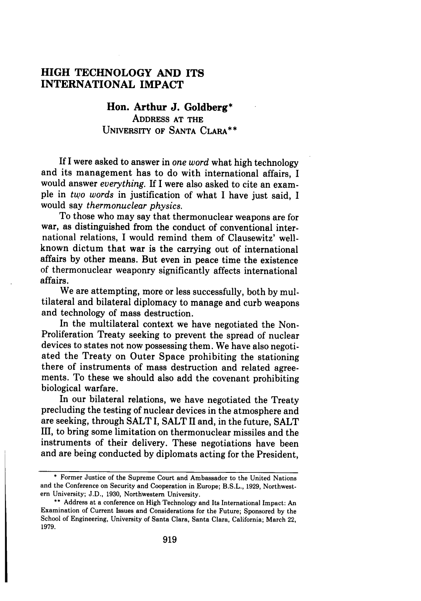## **HIGH TECHNOLOGY AND ITS INTERNATIONAL IMPACT**

**Hon. Arthur J. Goldberg\* ADDRESS AT THE**

**UNIVERSITY OF SANTA CLARA\*\***

**If** I were asked to answer in *one word* what high technology and its management has to do with international affairs, I would answer *everything.* If I were also asked to cite an example in *two words* in justification of what **I** have just said, **I** would say *thermonuclear physics.*

To those who may say that thermonuclear weapons are for war, as distinguished from the conduct of conventional international relations, I would remind them of Clausewitz' wellknown dictum that war is the carrying out of international affairs by other means. But even in peace time the existence of thermonuclear weaponry significantly affects international affairs.

We are attempting, more or less successfully, both by multilateral and bilateral diplomacy to manage and curb weapons and technology of mass destruction.

In the multilateral context we have negotiated the Non-Proliferation Treaty seeking to prevent the spread of nuclear devices to states not now possessing them. We have also negotiated the Treaty on Outer Space prohibiting the stationing there of instruments of mass destruction and related agreements. To these we should also add the covenant prohibiting biological warfare.

In our bilateral relations, we have negotiated the Treaty precluding the testing of nuclear devices in the atmosphere and are seeking, through SALT I, SALT II and, in the future, SALT III, to bring some limitation on thermonuclear missiles and the instruments of their delivery. These negotiations have been and are being conducted by diplomats acting for the President,

<sup>\*</sup> Former Justice of the Supreme Court and Ambassador to the United Nations and the Conference on Security and Cooperation in Europe; B.S.L., 1929, Northwestern University; **J.D., 1930,** Northwestern University.

<sup>\*\*</sup> Address at a conference on High Technology and Its International Impact: An Examination of Current Issues and Considerations for the Future; Sponsored by the School of Engineering, University of Santa Clara, Santa Clara, California; March 22, 1979.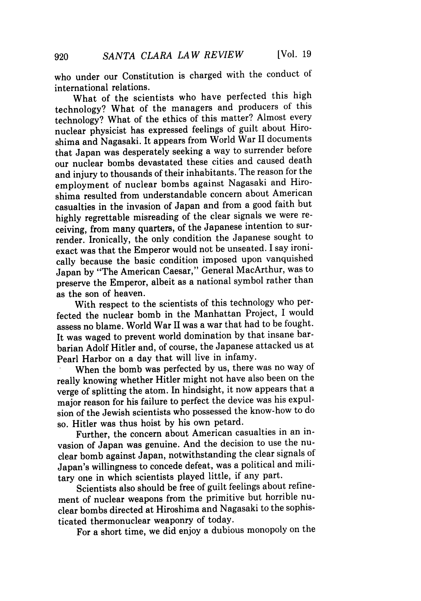who under our Constitution is charged with the conduct of international relations.

What of the scientists who have perfected this high technology? What of the managers and producers of this technology? What of the ethics of this matter? Almost every nuclear physicist has expressed feelings of guilt about Hiroshima and Nagasaki. It appears from World War II documents that Japan was desperately seeking a way to surrender before our nuclear bombs devastated these cities and caused death and injury to thousands of their inhabitants. The reason for the employment of nuclear bombs against Nagasaki and Hiroshima resulted from understandable concern about American casualties in the invasion of Japan and from a good faith but highly regrettable misreading of the clear signals we were receiving, from many quarters, of the Japanese intention to surrender. Ironically, the only condition the Japanese sought to exact was that the Emperor would not be unseated. I say ironically because the basic condition imposed upon vanquished Japan by "The American Caesar," General MacArthur, was to preserve the Emperor, albeit as a national symbol rather than as the son of heaven.

With respect to the scientists of this technology who perfected the nuclear bomb in the Manhattan Project, I would assess no blame. World War II was a war that had to be fought. It was waged to prevent world domination by that insane barbarian Adolf Hitler and, of course, the Japanese attacked us at Pearl Harbor on a day that will live in infamy.

When the bomb was perfected by us, there was no way of really knowing whether Hitler might not have also been on the verge of splitting the atom. In hindsight, it now appears that a major reason for his failure to perfect the device was his expulsion of the Jewish scientists who possessed the know-how to do so. Hitler was thus hoist by his own petard.

Further, the concern about American casualties in an invasion of Japan was genuine. And the decision to use the nuclear bomb against Japan, notwithstanding the clear signals of Japan's willingness to concede defeat, was a political and military one in which scientists played little, if any part.

Scientists also should be free of guilt feelings about refinement of nuclear weapons from the primitive but horrible nuclear bombs directed at Hiroshima and Nagasaki to the sophisticated thermonuclear weaponry of today.

For a short time, we did enjoy a dubious monopoly on the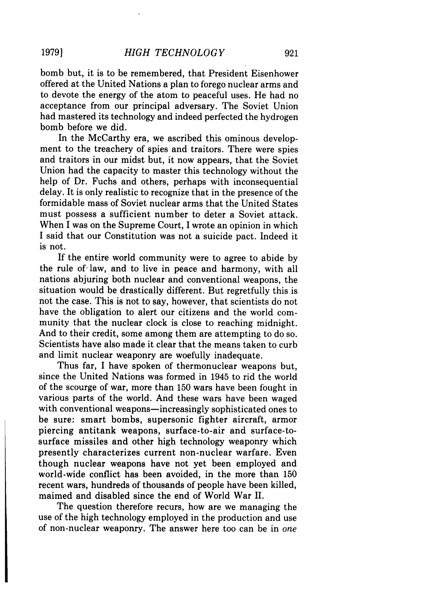bomb but, it is to be remembered, that President Eisenhower offered at the United Nations a plan to forego nuclear arms and to devote the energy of the atom to peaceful uses. He had no acceptance from our principal adversary. The Soviet Union had mastered its technology and indeed perfected the hydrogen bomb before we did.

In the McCarthy era, we ascribed this ominous development to the treachery of spies and traitors. There were spies and traitors in our midst but, it now appears, that the Soviet Union had the capacity to master this technology without the help of Dr. Fuchs and others, perhaps with inconsequential delay. It is only realistic to recognize that in the presence of the formidable mass of Soviet nuclear arms that the United States must possess a sufficient number to deter a Soviet attack. When I was on the Supreme Court, I wrote an opinion in which I said that our Constitution was not a suicide pact. Indeed it is not.

If the entire world community were to agree to abide by the rule of law, and to live in peace and harmony, with all nations abjuring both nuclear and conventional weapons, the situation would be drastically different. But regretfully this is not the case. This is not to say, however, that scientists do not have the obligation to alert our citizens and the world community that the nuclear clock is close to reaching midnight. And to their credit, some among them are attempting to do so. Scientists have also made it clear that the means taken to curb and limit nuclear weaponry are woefully inadequate.

Thus far, I have spoken of thermonuclear weapons but, since the United Nations was formed in 1945 to rid the world of the scourge of war, more than 150 wars have been fought in various parts of the world. And these wars have been waged with conventional weapons—increasingly sophisticated ones to be sure: smart bombs, supersonic fighter aircraft, armor piercing antitank weapons, surface-to-air and surface-tosurface missiles and other high technology weaponry which presently characterizes current non-nuclear warfare. Even though nuclear weapons have not yet been employed and world-wide conflict has been avoided, in the more than 150 recent wars, hundreds of thousands of people have been killed, maimed and disabled since the end of World War II.

The question therefore recurs, how are we managing the use of the high technology employed in the production and use of non-nuclear weaponry. The answer here too can be in *one*

**19791**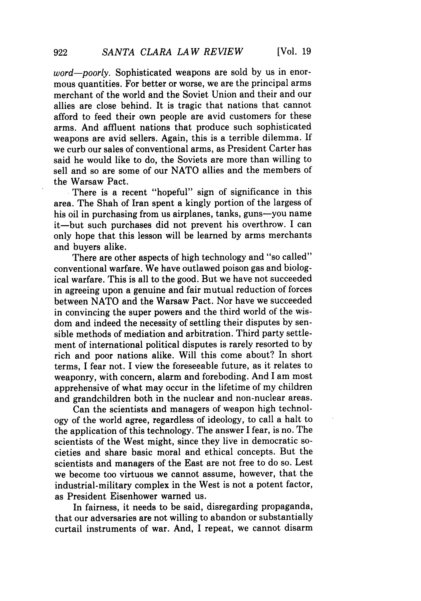*word-poorly.* Sophisticated weapons are sold by us in enormous quantities. For better or worse, we are the principal arms merchant of the world and the Soviet Union and their and our allies are close behind. It is tragic that nations that cannot afford to feed their own people are avid customers for these arms. And affluent nations that produce such sophisticated weapons are avid sellers. Again, this is a terrible dilemma. If we curb our sales of conventional arms, as President Carter has said he would like to do, the Soviets are more than willing to sell and so are some of our NATO allies and the members of the Warsaw Pact.

**.**There is a recent "hopeful" sign of significance in this area. The Shah of Iran spent a kingly portion of the largess of his oil in purchasing from us airplanes, tanks, guns-you name it-but such purchases did not prevent his overthrow. I can only hope that this lesson will be learned by arms merchants and buyers alike.

There are other aspects of high technology and "so called" conventional warfare. We have outlawed poison gas and biological warfare. This is all to the good. But we have not succeeded in agreeing upon a genuine and fair mutual reduction of forces between NATO and the Warsaw Pact. Nor have we succeeded in convincing the super powers and the third world of the wisdom and indeed the necessity of settling their disputes by sensible methods of mediation and arbitration. Third party settlement of international political disputes is rarely resorted to by rich and poor nations alike. Will this come about? In short terms, I fear not. I view the foreseeable future, as it relates to weaponry, with concern, alarm and foreboding. And I am most apprehensive of what may occur in the lifetime of my children and grandchildren both in the nuclear and non-nuclear areas.

Can the scientists and managers of weapon high technology of the world agree, regardless of ideology, to call a halt to the application of this technology. The answer I fear, is no. The scientists of the West might, since they live in democratic societies and share basic moral and ethical concepts. But the scientists and managers of the East are not free to do so. Lest we become too virtuous we cannot assume, however, that the industrial-military complex in the West is not a potent factor, as President Eisenhower warned us.

In fairness, it needs to be said, disregarding propaganda, that our adversaries are not willing to abandon or substantially curtail instruments of war. And, I repeat, we cannot disarm

922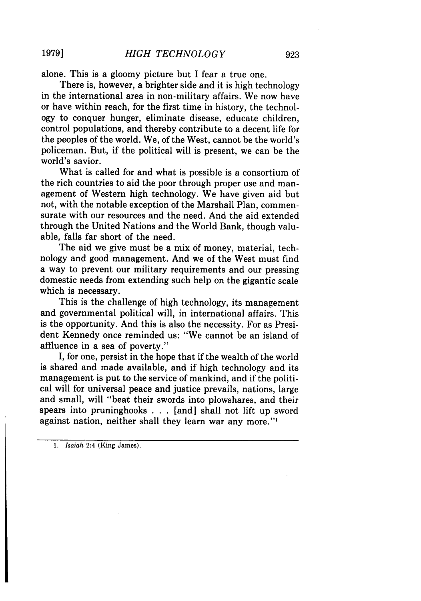alone. This is a gloomy picture but I fear a true one.

There is, however, a brighter side and it is high technology in the international area in non-military affairs. We now have or have within reach, for the first time in history, the technology to conquer hunger, eliminate disease, educate children, control populations, and thereby contribute to a decent life for the peoples of the world. We, of the West, cannot be the world's policeman. But, if the political will is present, we can be the world's savior.

What is called for and what is possible is a consortium of the rich countries to aid the poor through proper use and management of Western high technology. We have given aid but not, with the notable exception of the Marshall Plan, commensurate with our resources and the need. And the aid extended through the United Nations and the World Bank, though valuable, falls far short of the need.

The aid we give must be a mix of money, material, technology and good management. And we of the West must find a way to prevent our military requirements and our pressing domestic needs from extending such help on the gigantic scale which is necessary.

This is the challenge of high technology, its management and governmental political will, in international affairs. This is the opportunity. And this is also the necessity. For as President Kennedy once reminded us: "We cannot be an island of' affluence in a sea of poverty."

I, for one, persist in the hope that if the wealth of the world is shared and made available, and if high technology and its management is put to the service of mankind, and if the political will for universal peace and justice prevails, nations, large and small, will "beat their swords into plowshares, and their spears into pruninghooks . . . [and] shall not lift up sword against nation, neither shall they learn war any more."'

*1. Isaiah* 2:4 (King James).

**1979]**